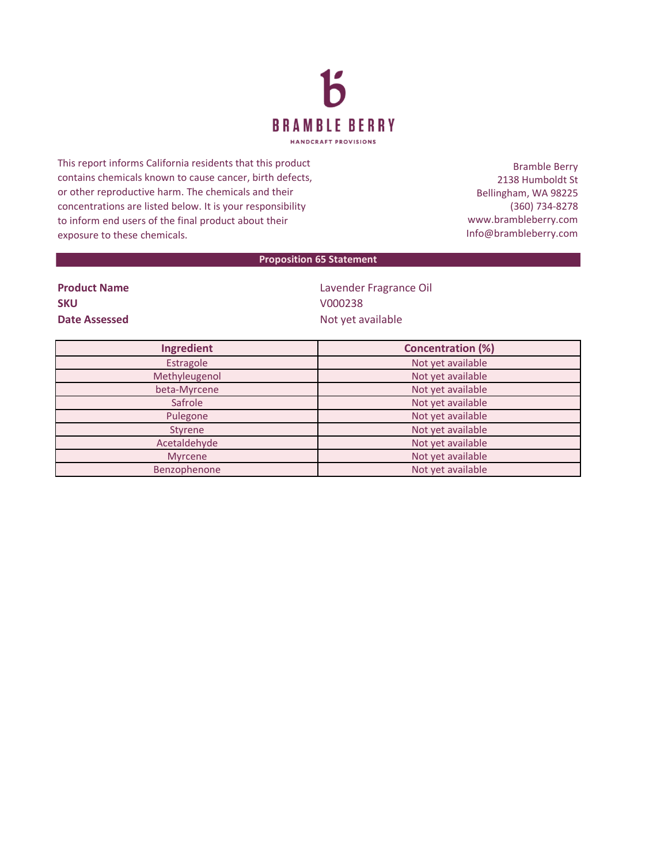

This report informs California residents that this product contains chemicals known to cause cancer, birth defects, or other reproductive harm. The chemicals and their concentrations are listed below. It is your responsibility to inform end users of the final product about their exposure to these chemicals.

Bramble Berry 2138 Humboldt St Bellingham, WA 98225 (360) 734-8278 www.brambleberry.com Info@brambleberry.com

## **Proposition 65 Statement**

| <b>Product Name</b> |  |
|---------------------|--|
| <b>SKU</b>          |  |
| Date Assessed       |  |

**Lavender Fragrance Oil SKU** V000238 **Date Assessed** Not yet available

| Ingredient     | <b>Concentration (%)</b> |
|----------------|--------------------------|
| Estragole      | Not yet available        |
| Methyleugenol  | Not yet available        |
| beta-Myrcene   | Not yet available        |
| Safrole        | Not yet available        |
| Pulegone       | Not yet available        |
| Styrene        | Not yet available        |
| Acetaldehyde   | Not yet available        |
| <b>Myrcene</b> | Not yet available        |
| Benzophenone   | Not yet available        |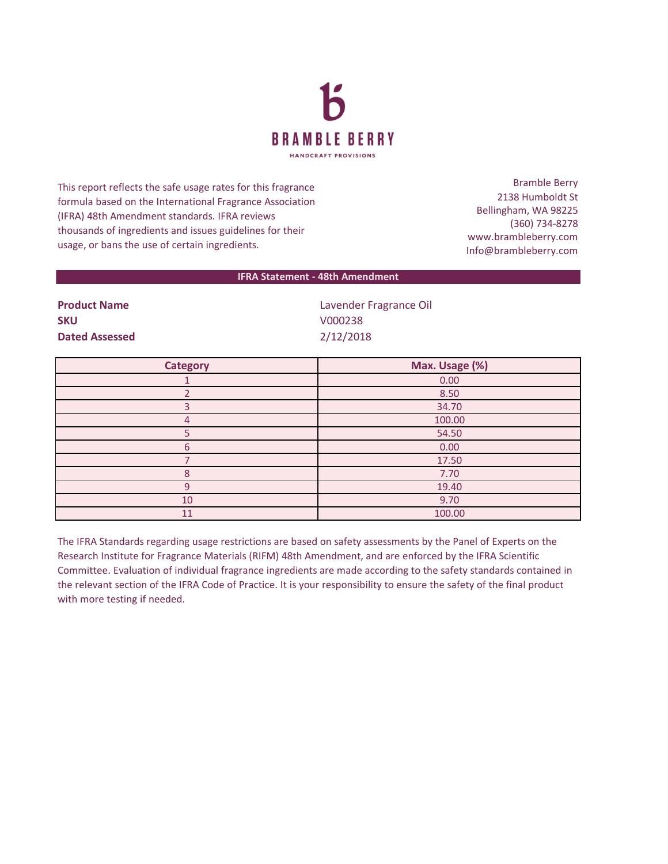

This report reflects the safe usage rates for this fragrance formula based on the International Fragrance Association (IFRA) 48th Amendment standards. IFRA reviews thousands of ingredients and issues guidelines for their usage, or bans the use of certain ingredients.

Bramble Berry 2138 Humboldt St Bellingham, WA 98225 (360) 734-8278 www.brambleberry.com Info@brambleberry.com

## **IFRA Statement - 48th Amendment**

| <b>Product Name</b>   |  |
|-----------------------|--|
| <b>SKU</b>            |  |
| <b>Dated Assessed</b> |  |

**Lavender Fragrance Oil SKU** V000238 **Dated Assessed** 2/12/2018

| <b>Category</b> | Max. Usage (%) |
|-----------------|----------------|
|                 | 0.00           |
|                 | 8.50           |
|                 | 34.70          |
| 4               | 100.00         |
|                 | 54.50          |
| 6               | 0.00           |
|                 | 17.50          |
| 8               | 7.70           |
| q               | 19.40          |
| 10              | 9.70           |
| 11              | 100.00         |

The IFRA Standards regarding usage restrictions are based on safety assessments by the Panel of Experts on the Research Institute for Fragrance Materials (RIFM) 48th Amendment, and are enforced by the IFRA Scientific Committee. Evaluation of individual fragrance ingredients are made according to the safety standards contained in the relevant section of the IFRA Code of Practice. It is your responsibility to ensure the safety of the final product with more testing if needed.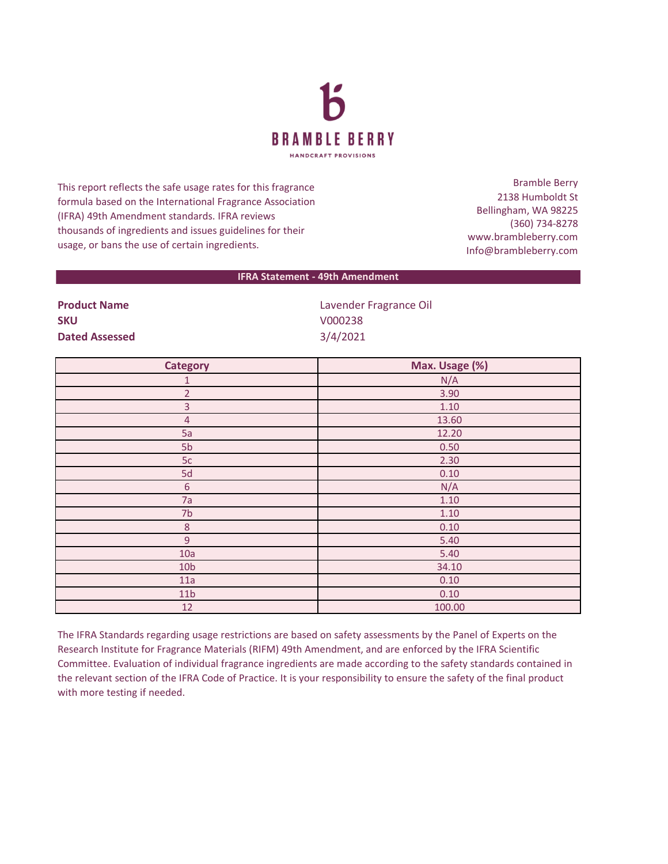

This report reflects the safe usage rates for this fragrance formula based on the International Fragrance Association (IFRA) 49th Amendment standards. IFRA reviews thousands of ingredients and issues guidelines for their usage, or bans the use of certain ingredients.

Bramble Berry 2138 Humboldt St Bellingham, WA 98225 (360) 734-8278 www.brambleberry.com Info@brambleberry.com

## **IFRA Statement - 49th Amendment**

| <b>Product Name</b>   | Lavender Fragrance Oil |  |
|-----------------------|------------------------|--|
| <b>SKU</b>            | V000238                |  |
| <b>Dated Assessed</b> | 3/4/2021               |  |

| <b>Category</b> | Max. Usage (%) |
|-----------------|----------------|
| $\mathbf{1}$    | N/A            |
| $\overline{2}$  | 3.90           |
| $\overline{3}$  | 1.10           |
| $\overline{4}$  | 13.60          |
| 5a              | 12.20          |
| 5 <sub>b</sub>  | 0.50           |
| $5c$            | 2.30           |
| 5d              | 0.10           |
| $\sqrt{6}$      | N/A            |
| 7a              | 1.10           |
| 7b              | $1.10$         |
| $\bf 8$         | 0.10           |
| $\overline{9}$  | 5.40           |
| 10a             | 5.40           |
| 10 <sub>b</sub> | 34.10          |
| 11a             | 0.10           |
| 11 <sub>b</sub> | 0.10           |
| 12              | 100.00         |

The IFRA Standards regarding usage restrictions are based on safety assessments by the Panel of Experts on the Research Institute for Fragrance Materials (RIFM) 49th Amendment, and are enforced by the IFRA Scientific Committee. Evaluation of individual fragrance ingredients are made according to the safety standards contained in the relevant section of the IFRA Code of Practice. It is your responsibility to ensure the safety of the final product with more testing if needed.